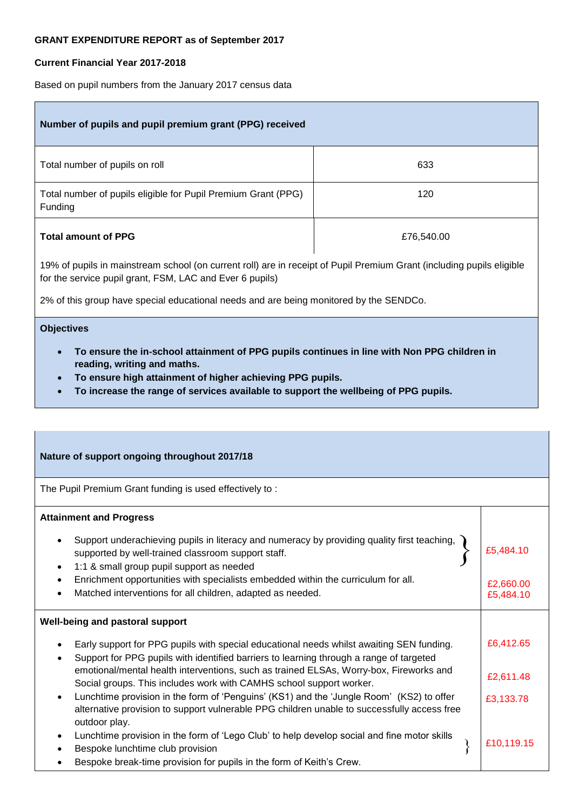### **GRANT EXPENDITURE REPORT as of September 2017**

## **Current Financial Year 2017-2018**

Based on pupil numbers from the January 2017 census data

| Number of pupils and pupil premium grant (PPG) received                  |            |
|--------------------------------------------------------------------------|------------|
| Total number of pupils on roll                                           | 633        |
| Total number of pupils eligible for Pupil Premium Grant (PPG)<br>Funding | 120        |
| <b>Total amount of PPG</b>                                               | £76,540.00 |
|                                                                          |            |

19% of pupils in mainstream school (on current roll) are in receipt of Pupil Premium Grant (including pupils eligible for the service pupil grant, FSM, LAC and Ever 6 pupils)

2% of this group have special educational needs and are being monitored by the SENDCo.

#### **Objectives**

- **To ensure the in**‐**school attainment of PPG pupils continues in line with Non PPG children in reading, writing and maths.**
- **To ensure high attainment of higher achieving PPG pupils.**
- **To increase the range of services available to support the wellbeing of PPG pupils.**

#### **Nature of support ongoing throughout 2017/18**

The Pupil Premium Grant funding is used effectively to :

#### **Attainment and Progress**

| Support underachieving pupils in literacy and numeracy by providing quality first teaching,<br>$\bullet$<br>supported by well-trained classroom support staff.<br>1:1 & small group pupil support as needed<br>$\bullet$ | £5,484.10  |
|--------------------------------------------------------------------------------------------------------------------------------------------------------------------------------------------------------------------------|------------|
| Enrichment opportunities with specialists embedded within the curriculum for all.<br>$\bullet$                                                                                                                           | £2,660.00  |
| Matched interventions for all children, adapted as needed.<br>$\bullet$                                                                                                                                                  | £5,484.10  |
| Well-being and pastoral support                                                                                                                                                                                          |            |
| Early support for PPG pupils with special educational needs whilst awaiting SEN funding.<br>$\bullet$<br>Support for PPG pupils with identified barriers to learning through a range of targeted<br>٠                    | £6,412.65  |
| emotional/mental health interventions, such as trained ELSAs, Worry-box, Fireworks and<br>Social groups. This includes work with CAMHS school support worker.                                                            | £2,611.48  |
| Lunchtime provision in the form of 'Penguins' (KS1) and the 'Jungle Room' (KS2) to offer<br>$\bullet$<br>alternative provision to support vulnerable PPG children unable to successfully access free<br>outdoor play.    | £3,133.78  |
| Lunchtime provision in the form of 'Lego Club' to help develop social and fine motor skills<br>٠                                                                                                                         |            |
| Bespoke lunchtime club provision                                                                                                                                                                                         | £10,119.15 |
| Bespoke break-time provision for pupils in the form of Keith's Crew.                                                                                                                                                     |            |